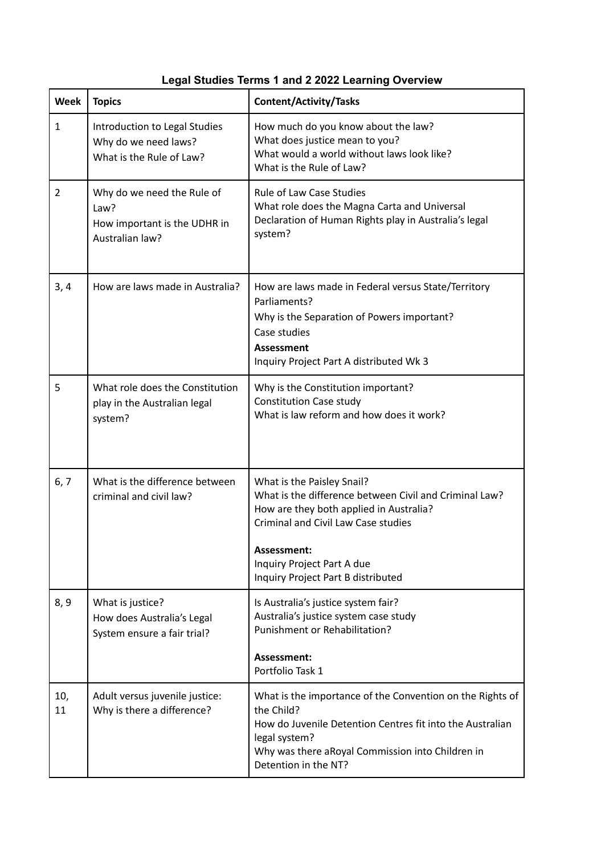|  |  |  | <b>Legal Studies Terms 1 and 2 2022 Learning Overview</b> |  |
|--|--|--|-----------------------------------------------------------|--|
|--|--|--|-----------------------------------------------------------|--|

| Week           | <b>Topics</b>                                                                         | <b>Content/Activity/Tasks</b>                                                                                                                                                                                                                                    |
|----------------|---------------------------------------------------------------------------------------|------------------------------------------------------------------------------------------------------------------------------------------------------------------------------------------------------------------------------------------------------------------|
| $\mathbf{1}$   | Introduction to Legal Studies<br>Why do we need laws?<br>What is the Rule of Law?     | How much do you know about the law?<br>What does justice mean to you?<br>What would a world without laws look like?<br>What is the Rule of Law?                                                                                                                  |
| $\overline{2}$ | Why do we need the Rule of<br>Law?<br>How important is the UDHR in<br>Australian law? | <b>Rule of Law Case Studies</b><br>What role does the Magna Carta and Universal<br>Declaration of Human Rights play in Australia's legal<br>system?                                                                                                              |
| 3, 4           | How are laws made in Australia?                                                       | How are laws made in Federal versus State/Territory<br>Parliaments?<br>Why is the Separation of Powers important?<br>Case studies<br><b>Assessment</b><br>Inquiry Project Part A distributed Wk 3                                                                |
| 5              | What role does the Constitution<br>play in the Australian legal<br>system?            | Why is the Constitution important?<br><b>Constitution Case study</b><br>What is law reform and how does it work?                                                                                                                                                 |
| 6, 7           | What is the difference between<br>criminal and civil law?                             | What is the Paisley Snail?<br>What is the difference between Civil and Criminal Law?<br>How are they both applied in Australia?<br><b>Criminal and Civil Law Case studies</b><br>Assessment:<br>Inquiry Project Part A due<br>Inquiry Project Part B distributed |
| 8, 9           | What is justice?<br>How does Australia's Legal<br>System ensure a fair trial?         | Is Australia's justice system fair?<br>Australia's justice system case study<br>Punishment or Rehabilitation?<br>Assessment:<br>Portfolio Task 1                                                                                                                 |
| 10,<br>11      | Adult versus juvenile justice:<br>Why is there a difference?                          | What is the importance of the Convention on the Rights of<br>the Child?<br>How do Juvenile Detention Centres fit into the Australian<br>legal system?<br>Why was there aRoyal Commission into Children in<br>Detention in the NT?                                |